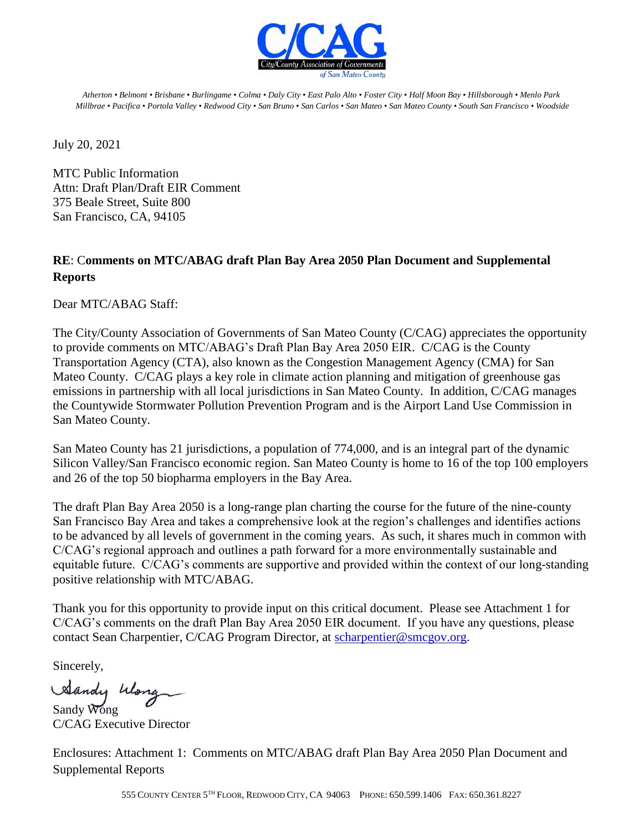

*Atherton • Belmont • Brisbane* • *Burlingame* • *Colma* • *Daly City* • *East Palo Alto* • *Foster City* • *Half Moon Bay* • *Hillsborough* • *Menlo Park Millbrae* • *Pacifica* • *Portola Valley* • *Redwood City* • *San Bruno* • *San Carlos* • *San Mateo* • *San Mateo County* • *South San Francisco* • *Woodside*

July 20, 2021

MTC Public Information Attn: Draft Plan/Draft EIR Comment 375 Beale Street, Suite 800 San Francisco, CA, 94105

### **RE**: C**omments on MTC/ABAG draft Plan Bay Area 2050 Plan Document and Supplemental Reports**

Dear MTC/ABAG Staff:

The City/County Association of Governments of San Mateo County (C/CAG) appreciates the opportunity to provide comments on MTC/ABAG's Draft Plan Bay Area 2050 EIR. C/CAG is the County Transportation Agency (CTA), also known as the Congestion Management Agency (CMA) for San Mateo County. C/CAG plays a key role in climate action planning and mitigation of greenhouse gas emissions in partnership with all local jurisdictions in San Mateo County. In addition, C/CAG manages the Countywide Stormwater Pollution Prevention Program and is the Airport Land Use Commission in San Mateo County.

San Mateo County has 21 jurisdictions, a population of 774,000, and is an integral part of the dynamic Silicon Valley/San Francisco economic region. San Mateo County is home to 16 of the top 100 employers and 26 of the top 50 biopharma employers in the Bay Area.

The draft Plan Bay Area 2050 is a long-range plan charting the course for the future of the nine-county San Francisco Bay Area and takes a comprehensive look at the region's challenges and identifies actions to be advanced by all levels of government in the coming years. As such, it shares much in common with C/CAG's regional approach and outlines a path forward for a more environmentally sustainable and equitable future. C/CAG's comments are supportive and provided within the context of our long-standing positive relationship with MTC/ABAG.

Thank you for this opportunity to provide input on this critical document. Please see Attachment 1 for C/CAG's comments on the draft Plan Bay Area 2050 EIR document. If you have any questions, please contact Sean Charpentier, C/CAG Program Director, at [scharpentier@smcgov.org.](mailto:scharpentier@smcgov.org)

Sincerely,

Sandy Wong

C/CAG Executive Director

Enclosures: Attachment 1: Comments on MTC/ABAG draft Plan Bay Area 2050 Plan Document and Supplemental Reports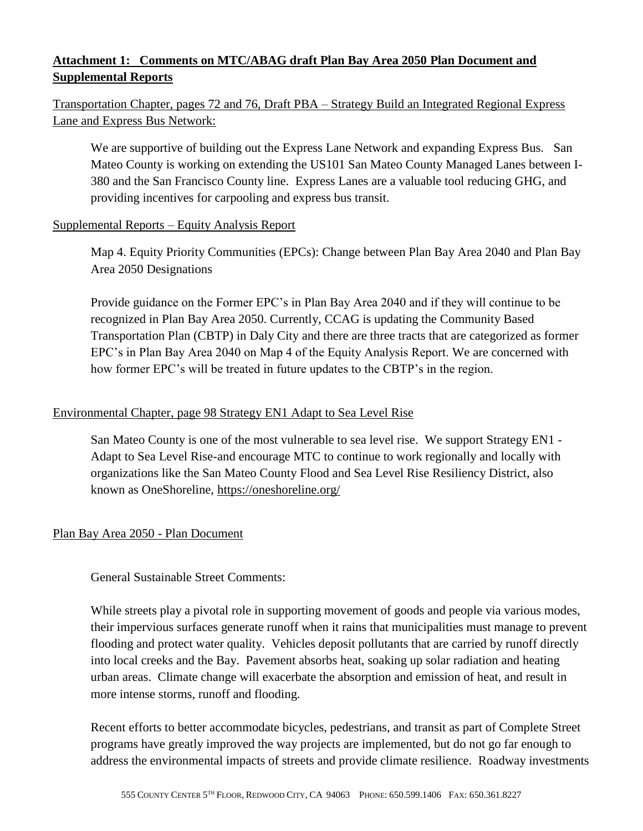# **Attachment 1: Comments on MTC/ABAG draft Plan Bay Area 2050 Plan Document and Supplemental Reports**

# Transportation Chapter, pages 72 and 76, Draft PBA – Strategy Build an Integrated Regional Express Lane and Express Bus Network:

We are supportive of building out the Express Lane Network and expanding Express Bus. San Mateo County is working on extending the US101 San Mateo County Managed Lanes between I-380 and the San Francisco County line. Express Lanes are a valuable tool reducing GHG, and providing incentives for carpooling and express bus transit.

#### Supplemental Reports – Equity Analysis Report

Map 4. Equity Priority Communities (EPCs): Change between Plan Bay Area 2040 and Plan Bay Area 2050 Designations

Provide guidance on the Former EPC's in Plan Bay Area 2040 and if they will continue to be recognized in Plan Bay Area 2050. Currently, CCAG is updating the Community Based Transportation Plan (CBTP) in Daly City and there are three tracts that are categorized as former EPC's in Plan Bay Area 2040 on Map 4 of the Equity Analysis Report. We are concerned with how former EPC's will be treated in future updates to the CBTP's in the region.

#### Environmental Chapter, page 98 Strategy EN1 Adapt to Sea Level Rise

San Mateo County is one of the most vulnerable to sea level rise. We support Strategy EN1 - Adapt to Sea Level Rise-and encourage MTC to continue to work regionally and locally with organizations like the San Mateo County Flood and Sea Level Rise Resiliency District, also known as OneShoreline,<https://oneshoreline.org/>

#### Plan Bay Area 2050 - Plan Document

General Sustainable Street Comments:

While streets play a pivotal role in supporting movement of goods and people via various modes, their impervious surfaces generate runoff when it rains that municipalities must manage to prevent flooding and protect water quality. Vehicles deposit pollutants that are carried by runoff directly into local creeks and the Bay. Pavement absorbs heat, soaking up solar radiation and heating urban areas. Climate change will exacerbate the absorption and emission of heat, and result in more intense storms, runoff and flooding.

Recent efforts to better accommodate bicycles, pedestrians, and transit as part of Complete Street programs have greatly improved the way projects are implemented, but do not go far enough to address the environmental impacts of streets and provide climate resilience. Roadway investments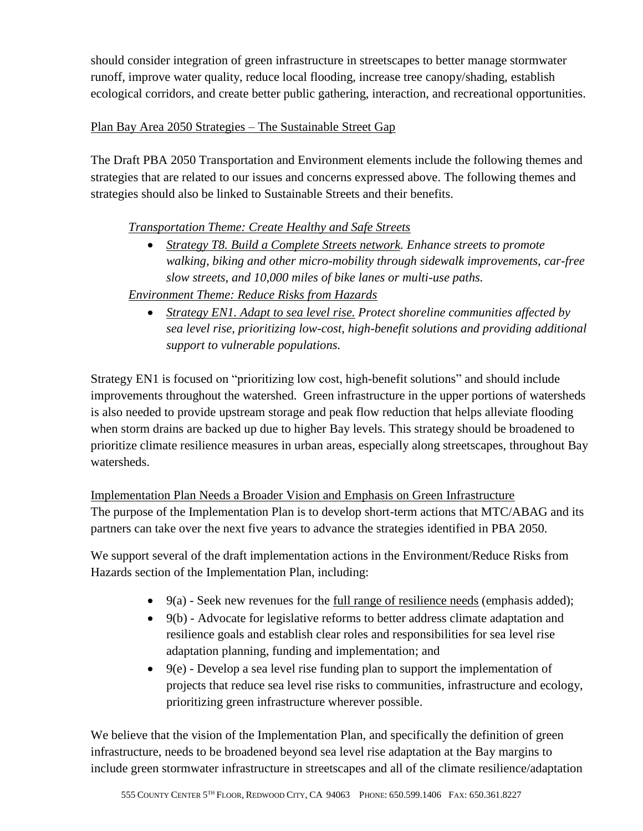should consider integration of green infrastructure in streetscapes to better manage stormwater runoff, improve water quality, reduce local flooding, increase tree canopy/shading, establish ecological corridors, and create better public gathering, interaction, and recreational opportunities.

### Plan Bay Area 2050 Strategies – The Sustainable Street Gap

The Draft PBA 2050 Transportation and Environment elements include the following themes and strategies that are related to our issues and concerns expressed above. The following themes and strategies should also be linked to Sustainable Streets and their benefits.

## *Transportation Theme: Create Healthy and Safe Streets*

• *Strategy T8. Build a Complete Streets network. Enhance streets to promote walking, biking and other micro-mobility through sidewalk improvements, car-free slow streets, and 10,000 miles of bike lanes or multi-use paths.*

### *Environment Theme: Reduce Risks from Hazards*

• *Strategy EN1. Adapt to sea level rise. Protect shoreline communities affected by sea level rise, prioritizing low-cost, high-benefit solutions and providing additional support to vulnerable populations.*

Strategy EN1 is focused on "prioritizing low cost, high-benefit solutions" and should include improvements throughout the watershed. Green infrastructure in the upper portions of watersheds is also needed to provide upstream storage and peak flow reduction that helps alleviate flooding when storm drains are backed up due to higher Bay levels. This strategy should be broadened to prioritize climate resilience measures in urban areas, especially along streetscapes, throughout Bay watersheds.

Implementation Plan Needs a Broader Vision and Emphasis on Green Infrastructure The purpose of the Implementation Plan is to develop short-term actions that MTC/ABAG and its partners can take over the next five years to advance the strategies identified in PBA 2050.

We support several of the draft implementation actions in the Environment/Reduce Risks from Hazards section of the Implementation Plan, including:

- $\bullet$  9(a) Seek new revenues for the full range of resilience needs (emphasis added);
- 9(b) Advocate for legislative reforms to better address climate adaptation and resilience goals and establish clear roles and responsibilities for sea level rise adaptation planning, funding and implementation; and
- $\bullet$  9(e) Develop a sea level rise funding plan to support the implementation of projects that reduce sea level rise risks to communities, infrastructure and ecology, prioritizing green infrastructure wherever possible.

We believe that the vision of the Implementation Plan, and specifically the definition of green infrastructure, needs to be broadened beyond sea level rise adaptation at the Bay margins to include green stormwater infrastructure in streetscapes and all of the climate resilience/adaptation